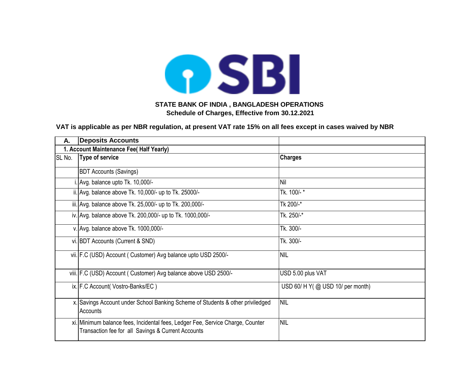

| Α.     | <b>Deposits Accounts</b>                                                                                                             |                                  |
|--------|--------------------------------------------------------------------------------------------------------------------------------------|----------------------------------|
|        | 1. Account Maintenance Fee( Half Yearly)                                                                                             |                                  |
| SL No. | Type of service                                                                                                                      | <b>Charges</b>                   |
|        | <b>BDT Accounts (Savings)</b>                                                                                                        |                                  |
|        | . Avg. balance upto Tk. 10,000/-                                                                                                     | Nil                              |
|        | ii. Avg. balance above Tk. 10,000/- up to Tk. 25000/-                                                                                | Tk. 100/-*                       |
|        | iii. Avg. balance above Tk. 25,000/- up to Tk. 200,000/-                                                                             | Tk 200/-*                        |
|        | iv. Avg. balance above Tk. 200,000/- up to Tk. 1000,000/-                                                                            | Tk. 250/-*                       |
|        | v. Avg. balance above Tk. 1000,000/-                                                                                                 | Tk. 300/-                        |
|        | vi. BDT Accounts (Current & SND)                                                                                                     | Tk. 300/-                        |
|        | vii. F.C (USD) Account ( Customer) Avg balance upto USD 2500/-                                                                       | <b>NIL</b>                       |
|        | viii. F.C (USD) Account ( Customer) Avg balance above USD 2500/-                                                                     | USD 5.00 plus VAT                |
|        | ix. F.C Account(Vostro-Banks/EC)                                                                                                     | USD 60/ H Y(@ USD 10/ per month) |
|        | x. Savings Account under School Banking Scheme of Students & other priviledged<br>Accounts                                           | <b>NIL</b>                       |
|        | xi. Minimum balance fees, Incidental fees, Ledger Fee, Service Charge, Counter<br>Transaction fee for all Savings & Current Accounts | <b>NIL</b>                       |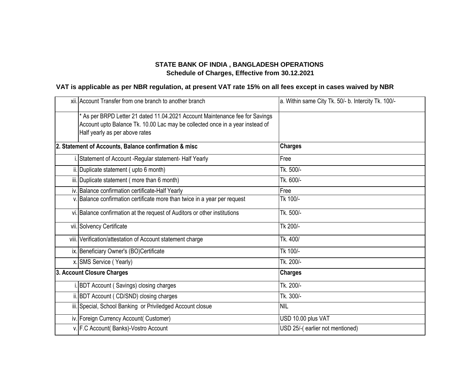| xii. Account Transfer from one branch to another branch                                                                                                                                         | a. Within same City Tk. 50/- b. Intercity Tk. 100/- |
|-------------------------------------------------------------------------------------------------------------------------------------------------------------------------------------------------|-----------------------------------------------------|
| * As per BRPD Letter 21 dated 11.04.2021 Account Maintenance fee for Savings<br>Account upto Balance Tk. 10.00 Lac may be collected once in a year instead of<br>Half yearly as per above rates |                                                     |
| 2. Statement of Accounts, Balance confirmation & misc                                                                                                                                           | <b>Charges</b>                                      |
| Statement of Account - Regular statement- Half Yearly                                                                                                                                           | Free                                                |
| ii. Duplicate statement (upto 6 month)                                                                                                                                                          | Tk. 500/-                                           |
| iii. Duplicate statement (more than 6 month)                                                                                                                                                    | Tk. 600/-                                           |
| iv. Balance confirmation certificate-Half Yearly                                                                                                                                                | Free                                                |
| v. Balance confirmation certificate more than twice in a year per request                                                                                                                       | Tk 100/-                                            |
| vi. Balance confirmation at the request of Auditors or other institutions                                                                                                                       | Tk. 500/-                                           |
| vii. Solvency Certificate                                                                                                                                                                       | Tk 200/-                                            |
| viii. Verification/attestation of Account statement charge                                                                                                                                      | Tk. 400/                                            |
| ix. Beneficiary Owner's (BO)Certificate                                                                                                                                                         | Tk 100/-                                            |
| x. SMS Service (Yearly)                                                                                                                                                                         | Tk. 200/-                                           |
| 3. Account Closure Charges                                                                                                                                                                      | <b>Charges</b>                                      |
| i. BDT Account (Savings) closing charges                                                                                                                                                        | Tk. 200/-                                           |
| ii. BDT Account (CD/SND) closing charges                                                                                                                                                        | Tk. 300/-                                           |
| iii. Special, School Banking or Priviledged Account closue                                                                                                                                      | <b>NIL</b>                                          |
| iv. Foreign Currency Account( Customer)                                                                                                                                                         | USD 10.00 plus VAT                                  |
| v. F.C Account( Banks)-Vostro Account                                                                                                                                                           | USD 25/-(earlier not mentioned)                     |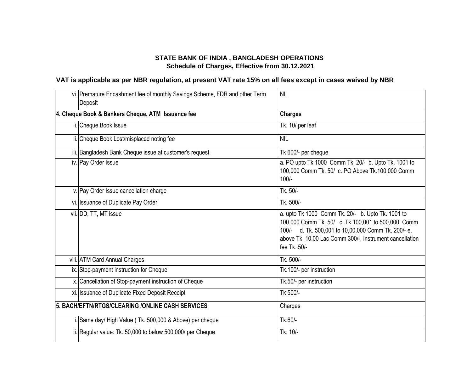| vi. Premature Encashment fee of monthly Savings Scheme, FDR and other Term<br>Deposit | <b>NIL</b>                                                                                                                                                                                                                                |
|---------------------------------------------------------------------------------------|-------------------------------------------------------------------------------------------------------------------------------------------------------------------------------------------------------------------------------------------|
| 4. Cheque Book & Bankers Cheque, ATM Issuance fee                                     | <b>Charges</b>                                                                                                                                                                                                                            |
| Cheque Book Issue                                                                     | Tk. 10/ per leaf                                                                                                                                                                                                                          |
| ii. Cheque Book Lost/misplaced noting fee                                             | <b>NIL</b>                                                                                                                                                                                                                                |
| iii. Bangladesh Bank Cheque issue at customer's request                               | Tk 600/- per cheque                                                                                                                                                                                                                       |
| iv. Pay Order Issue                                                                   | a. PO upto Tk 1000 Comm Tk. 20/- b. Upto Tk. 1001 to<br>100,000 Comm Tk. 50/ c. PO Above Tk.100,000 Comm<br>$100/-$                                                                                                                       |
| v. Pay Order Issue cancellation charge                                                | Tk. 50/-                                                                                                                                                                                                                                  |
| vi. Issuance of Duplicate Pay Order                                                   | Tk. 500/-                                                                                                                                                                                                                                 |
| vii. DD, TT, MT issue                                                                 | a. upto Tk 1000 Comm Tk. 20/- b. Upto Tk. 1001 to<br>100,000 Comm Tk. 50/ c. Tk.100,001 to 500,000 Comm<br>100/- d. Tk. 500,001 to 10,00,000 Comm Tk. 200/- e.<br>above Tk. 10.00 Lac Comm 300/-, Instrument cancellation<br>fee Tk. 50/- |
| viii. ATM Card Annual Charges                                                         | Tk. 500/-                                                                                                                                                                                                                                 |
| ix. Stop-payment instruction for Cheque                                               | Tk.100/- per instruction                                                                                                                                                                                                                  |
| x. Cancellation of Stop-payment instruction of Cheque                                 | Tk.50/- per instruction                                                                                                                                                                                                                   |
| xi. Issuance of Duplicate Fixed Deposit Receipt                                       | Tk 500/-                                                                                                                                                                                                                                  |
| 5. BACH/EFTN/RTGS/CLEARING /ONLINE CASH SERVICES                                      | Charges                                                                                                                                                                                                                                   |
| i. Same day/ High Value (Tk. 500,000 & Above) per cheque                              | Tk.60/-                                                                                                                                                                                                                                   |
| ii. Regular value: Tk. 50,000 to below 500,000/ per Cheque                            | Tk. 10/-                                                                                                                                                                                                                                  |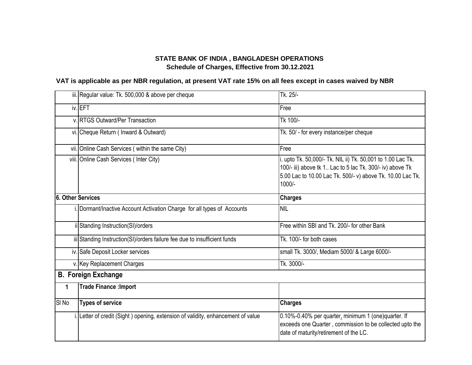|                          | iii. Regular value: Tk. 500,000 & above per cheque                               | Tk. 25/-                                                                                                                                                                                         |
|--------------------------|----------------------------------------------------------------------------------|--------------------------------------------------------------------------------------------------------------------------------------------------------------------------------------------------|
|                          | iv. EFT                                                                          | Free                                                                                                                                                                                             |
|                          | v. RTGS Outward/Per Transaction                                                  | Tk 100/-                                                                                                                                                                                         |
|                          | vi. Cheque Return ( Inward & Outward)                                            | Tk. 50/ - for every instance/per cheque                                                                                                                                                          |
|                          | vii. Online Cash Services (within the same City)                                 | Free                                                                                                                                                                                             |
|                          | viii. Online Cash Services (Inter City)                                          | i. upto Tk. 50,000/- Tk. NIL ii) Tk. 50,001 to 1.00 Lac Tk.<br>100/- iii) above tk 1 Lac to 5 lac Tk. 300/- iv) above Tk<br>5.00 Lac to 10.00 Lac Tk. 500/- v) above Tk. 10.00 Lac Tk.<br>1000/- |
| <b>6. Other Services</b> |                                                                                  | <b>Charges</b>                                                                                                                                                                                   |
|                          | i. Dormant/Inactive Account Activation Charge for all types of Accounts          | <b>NIL</b>                                                                                                                                                                                       |
|                          | ii Standing Instruction(SI)/orders                                               | Free within SBI and Tk. 200/- for other Bank                                                                                                                                                     |
|                          | iii Standing Instruction(SI)/orders failure fee due to insufficient funds        | Tk. 100/- for both cases                                                                                                                                                                         |
|                          | iv. Safe Deposit Locker services                                                 | small Tk. 3000/, Mediam 5000/ & Large 6000/-                                                                                                                                                     |
|                          | v. Key Replacement Charges                                                       | Tk. 3000/-                                                                                                                                                                                       |
|                          | <b>B. Foreign Exchange</b>                                                       |                                                                                                                                                                                                  |
| $\mathbf{1}$             | <b>Trade Finance : Import</b>                                                    |                                                                                                                                                                                                  |
| SI <sub>No</sub>         | <b>Types of service</b>                                                          | <b>Charges</b>                                                                                                                                                                                   |
|                          | i. Letter of credit (Sight) opening, extension of validity, enhancement of value | 0.10%-0.40% per quarter, minimum 1 (one)quarter. If<br>exceeds one Quarter, commission to be collected upto the<br>date of maturity/retirement of the LC.                                        |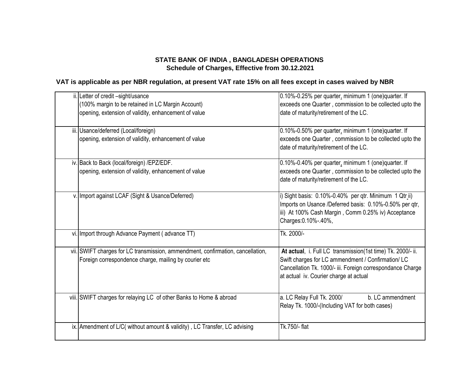| ii. Letter of credit -sight/usance<br>(100% margin to be retained in LC Margin Account)<br>opening, extension of validity, enhancement of value | 0.10%-0.25% per quarter, minimum 1 (one)quarter. If<br>exceeds one Quarter, commission to be collected upto the<br>date of maturity/retirement of the LC.                                                                 |
|-------------------------------------------------------------------------------------------------------------------------------------------------|---------------------------------------------------------------------------------------------------------------------------------------------------------------------------------------------------------------------------|
| iii. Usance/deferred (Local/foreign)<br>opening, extension of validity, enhancement of value                                                    | 0.10%-0.50% per quarter, minimum 1 (one)quarter. If<br>exceeds one Quarter, commission to be collected upto the<br>date of maturity/retirement of the LC.                                                                 |
| iv. Back to Back (local/foreign) /EPZ/EDF.<br>opening, extension of validity, enhancement of value                                              | 0.10%-0.40% per quarter, minimum 1 (one)quarter. If<br>exceeds one Quarter, commission to be collected upto the<br>date of maturity/retirement of the LC.                                                                 |
| v. Import against LCAF (Sight & Usance/Deferred)                                                                                                | i) Sight basis: 0.10%-0.40% per qtr. Minimum 1 Qtr_ii)<br>Imports on Usance /Deferred basis: 0.10%-0.50% per qtr,<br>iii) At 100% Cash Margin, Comm 0.25% iv) Acceptance<br>Charges: 0.10% -. 40%,                        |
| vi. Import through Advance Payment (advance TT)                                                                                                 | Tk. 2000/-                                                                                                                                                                                                                |
| vii. SWIFT charges for LC transmission, ammendment, confirmation, cancellation,<br>Foreign correspondence charge, mailing by courier etc        | At actual, i. Full LC transmission(1st time) Tk. 2000/- ii.<br>Swift charges for LC ammendment / Confirmation/ LC<br>Cancellation Tk. 1000/- iii. Foreign correspondance Charge<br>at actual iv. Courier charge at actual |
| viii. SWIFT charges for relaying LC of other Banks to Home & abroad                                                                             | a. LC Relay Full Tk. 2000/<br>b. LC ammendment<br>Relay Tk. 1000/-(Including VAT for both cases)                                                                                                                          |
| ix. Amendment of L/C( without amount & validity), LC Transfer, LC advising                                                                      | Tk.750/- flat                                                                                                                                                                                                             |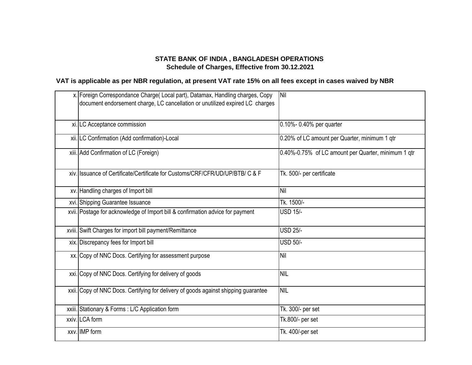| x. Foreign Correspondance Charge (Local part), Datamax, Handling charges, Copy<br>document endorsement charge, LC cancellation or unutilized expired LC charges | <b>Nil</b>                                          |
|-----------------------------------------------------------------------------------------------------------------------------------------------------------------|-----------------------------------------------------|
| xi. LC Acceptance commission                                                                                                                                    | 0.10%- 0.40% per quarter                            |
| xii. LC Confirmation (Add confirmation)-Local                                                                                                                   | 0.20% of LC amount per Quarter, minimum 1 qtr       |
| xiii. Add Confirmation of LC (Foreign)                                                                                                                          | 0.40%-0.75% of LC amount per Quarter, minimum 1 qtr |
| xiv. Issuance of Certificate/Certificate for Customs/CRF/CFR/UD/UP/BTB/ C & F                                                                                   | Tk. 500/- per certificate                           |
| xv. Handling charges of Import bill                                                                                                                             | Nil                                                 |
| xvi. Shipping Guarantee Issuance                                                                                                                                | Tk. 1500/-                                          |
| xvii. Postage for acknowledge of Import bill & confirmation advice for payment                                                                                  | <b>USD 15/-</b>                                     |
| xviii. Swift Charges for import bill payment/Remittance                                                                                                         | <b>USD 25/-</b>                                     |
| xix. Discrepancy fees for Import bill                                                                                                                           | <b>USD 50/-</b>                                     |
| xx. Copy of NNC Docs. Certifying for assessment purpose                                                                                                         | Nil                                                 |
| xxi. Copy of NNC Docs. Certifying for delivery of goods                                                                                                         | <b>NIL</b>                                          |
| xxii. Copy of NNC Docs. Certifying for delivery of goods against shipping guarantee                                                                             | <b>NIL</b>                                          |
| xxiii. Stationary & Forms : L/C Application form                                                                                                                | Tk. 300/- per set                                   |
| xxiv. LCA form                                                                                                                                                  | Tk.800/- per set                                    |
| xxv. IMP form                                                                                                                                                   | Tk. 400/-per set                                    |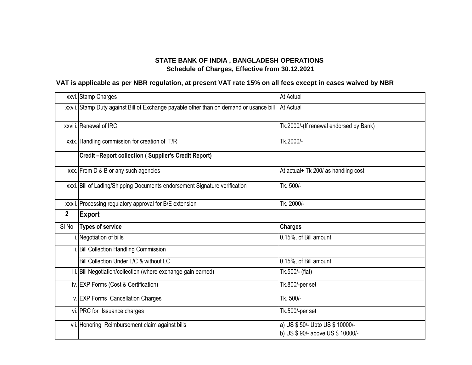|                  | xxvi. Stamp Charges                                                                              | <b>At Actual</b>                       |
|------------------|--------------------------------------------------------------------------------------------------|----------------------------------------|
|                  | xxvii. Stamp Duty against Bill of Exchange payable other than on demand or usance bill At Actual |                                        |
|                  | xxviii. Renewal of IRC                                                                           | Tk.2000/-(If renewal endorsed by Bank) |
|                  | xxix. Handling commission for creation of T/R                                                    | Tk.2000/-                              |
|                  | <b>Credit-Report collection (Supplier's Credit Report)</b>                                       |                                        |
|                  | xxx. From D & B or any such agencies                                                             | At actual+ Tk 200/ as handling cost    |
|                  | xxxi. Bill of Lading/Shipping Documents endorsement Signature verification                       | Tk. 500/-                              |
|                  | xxxii. Processing regulatory approval for B/E extension                                          | Tk. 2000/-                             |
|                  |                                                                                                  |                                        |
| $\mathbf{2}$     | <b>Export</b>                                                                                    |                                        |
| SI <sub>No</sub> | <b>Types of service</b>                                                                          | <b>Charges</b>                         |
|                  | I. Negotiation of bills                                                                          | 0.15%, of Bill amount                  |
|                  | ii. Bill Collection Handling Commission                                                          |                                        |
|                  | Bill Collection Under L/C & without LC                                                           | 0.15%, of Bill amount                  |
|                  | iii. Bill Negotiation/collection (where exchange gain earned)                                    | Tk.500/- (flat)                        |
|                  | iv. EXP Forms (Cost & Certification)                                                             | Tk.800/-per set                        |
|                  | v. EXP Forms Cancellation Charges                                                                | Tk. 500/-                              |
|                  | vi. PRC for Issuance charges                                                                     | Tk.500/-per set                        |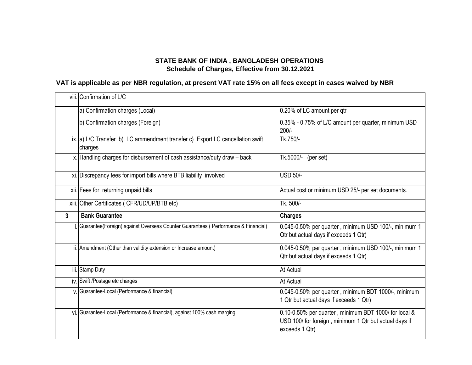|   | viii. Confirmation of L/C                                                                |                                                                                                 |
|---|------------------------------------------------------------------------------------------|-------------------------------------------------------------------------------------------------|
|   | a) Confirmation charges (Local)                                                          | 0.20% of LC amount per qtr                                                                      |
|   | b) Confirmation charges (Foreign)                                                        | 0.35% - 0.75% of L/C amount per quarter, minimum USD<br>$200/-$                                 |
|   | ix. a) L/C Transfer b) LC ammendment transfer c) Export LC cancellation swift<br>charges | Tk.750/-                                                                                        |
|   | x. Handling charges for disbursement of cash assistance/duty draw - back                 | Tk.5000/-<br>(per set)                                                                          |
|   | xi. Discrepancy fees for import bills where BTB liability involved                       | <b>USD 50/-</b>                                                                                 |
|   | xii. Fees for returning unpaid bills                                                     | Actual cost or minimum USD 25/- per set documents.                                              |
|   | xiii. Other Certificates (CFR/UD/UP/BTB etc)                                             | Tk. 500/-                                                                                       |
| 3 | <b>Bank Guarantee</b>                                                                    | <b>Charges</b>                                                                                  |
|   | Guarantee (Foreign) against Overseas Counter Guarantees (Performance & Financial)        |                                                                                                 |
|   |                                                                                          | 0.045-0.50% per quarter, minimum USD 100/-, minimum 1<br>Qtr but actual days if exceeds 1 Qtr)  |
|   | ii. Amendment (Other than validity extension or Increase amount)                         | 0.045-0.50% per quarter, minimum USD 100/-, minimum 1<br>Qtr but actual days if exceeds 1 Qtr)  |
|   | iii. Stamp Duty                                                                          | <b>At Actual</b>                                                                                |
|   | iv. Swift /Postage etc charges                                                           | <b>At Actual</b>                                                                                |
|   | v. Guarantee-Local (Performance & financial)                                             | 0.045-0.50% per quarter, minimum BDT 1000/-, minimum<br>1 Qtr but actual days if exceeds 1 Qtr) |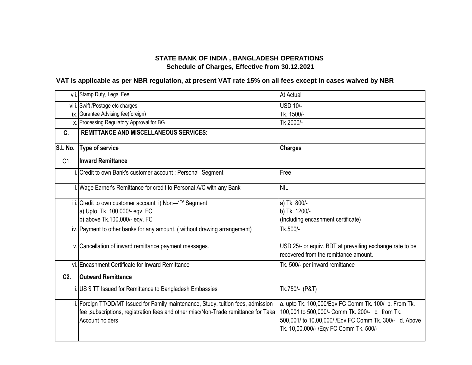|         | vii. Stamp Duty, Legal Fee                                                                                                                                                                          | At Actual                                                                                                                                                                                                     |
|---------|-----------------------------------------------------------------------------------------------------------------------------------------------------------------------------------------------------|---------------------------------------------------------------------------------------------------------------------------------------------------------------------------------------------------------------|
|         | viii. Swift /Postage etc charges                                                                                                                                                                    | <b>USD 10/-</b>                                                                                                                                                                                               |
|         | ix. Gurantee Advising fee(foreign)                                                                                                                                                                  | Tk. 1500/-                                                                                                                                                                                                    |
|         | x. Processing Regulatory Approval for BG                                                                                                                                                            | Tk 2000/-                                                                                                                                                                                                     |
| C.      | <b>REMITTANCE AND MISCELLANEOUS SERVICES:</b>                                                                                                                                                       |                                                                                                                                                                                                               |
|         |                                                                                                                                                                                                     |                                                                                                                                                                                                               |
| S.L No. | <b>Type of service</b>                                                                                                                                                                              | <b>Charges</b>                                                                                                                                                                                                |
| C1.     | <b>Inward Remittance</b>                                                                                                                                                                            |                                                                                                                                                                                                               |
|         | i. Credit to own Bank's customer account: Personal Segment                                                                                                                                          | Free                                                                                                                                                                                                          |
|         | ii. Wage Earner's Remittance for credit to Personal A/C with any Bank                                                                                                                               | <b>NIL</b>                                                                                                                                                                                                    |
|         | iii. Credit to own customer account i) Non-'P' Segment                                                                                                                                              | a) Tk. 800/-                                                                                                                                                                                                  |
|         | a) Upto Tk. 100,000/- eqv. FC                                                                                                                                                                       | b) Tk. 1200/-                                                                                                                                                                                                 |
|         | b) above Tk.100,000/- eqv. FC                                                                                                                                                                       | (Including encashment certificate)                                                                                                                                                                            |
|         | iv. Payment to other banks for any amount. (without drawing arrangement)                                                                                                                            | Tk.500/-                                                                                                                                                                                                      |
|         | v. Cancellation of inward remittance payment messages.                                                                                                                                              | USD 25/- or equiv. BDT at prevailing exchange rate to be<br>recovered from the remittance amount.                                                                                                             |
|         | vi. Encashment Certificate for Inward Remittance                                                                                                                                                    | Tk. 500/- per inward remittance                                                                                                                                                                               |
| $C2$ .  | <b>Outward Remittance</b>                                                                                                                                                                           |                                                                                                                                                                                                               |
|         | i. US \$ TT Issued for Remittance to Bangladesh Embassies                                                                                                                                           | Tk.750/- (P&T)                                                                                                                                                                                                |
|         | ii. Foreign TT/DD/MT Issued for Family maintenance, Study, tuition fees, admission<br>fee , subscriptions, registration fees and other misc/Non-Trade remittance for Taka<br><b>Account holders</b> | a. upto Tk. 100,000/Eqv FC Comm Tk. 100/ b. From Tk.<br>100,001 to 500,000/- Comm Tk. 200/- c. from Tk.<br>500,001/ to 10,00,000/ / Eqv FC Comm Tk. 300/- d. Above<br>Tk. 10,00,000/- / Eqv FC Comm Tk. 500/- |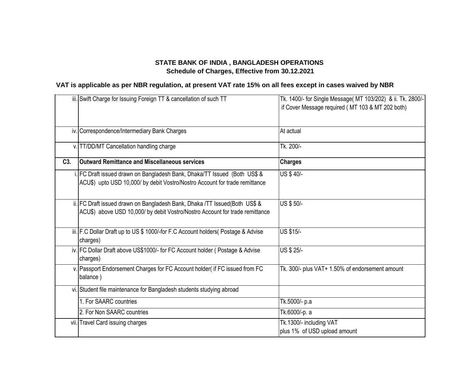|     | iii. Swift Charge for Issuing Foreign TT & cancellation of such TT                                                                                         | Tk. 1400/- for Single Message( MT 103/202) & ii. Tk. 2800/-<br>if Cover Message required (MT 103 & MT 202 both) |
|-----|------------------------------------------------------------------------------------------------------------------------------------------------------------|-----------------------------------------------------------------------------------------------------------------|
|     | iv. Correspondence/Intermediary Bank Charges                                                                                                               | At actual                                                                                                       |
|     | v. TT/DD/MT Cancellation handling charge                                                                                                                   | Tk. 200/-                                                                                                       |
| C3. | <b>Outward Remittance and Miscellaneous services</b>                                                                                                       | <b>Charges</b>                                                                                                  |
|     | i. FC Draft issued drawn on Bangladesh Bank, Dhaka/TT Issued (Both US\$ &<br>ACU\$) upto USD 10,000/ by debit Vostro/Nostro Account for trade remittance   | US \$40/-                                                                                                       |
|     | ii. FC Draft issued drawn on Bangladesh Bank, Dhaka /TT Issued(Both US\$ &<br>ACU\$) above USD 10,000/ by debit Vostro/Nostro Account for trade remittance | US \$50/-                                                                                                       |
|     | iii. F.C Dollar Draft up to US \$ 1000/-for F.C Account holders (Postage & Advise<br>charges)                                                              | <b>US \$15/-</b>                                                                                                |
|     | iv. FC Dollar Draft above US\$1000/- for FC Account holder (Postage & Advise<br>charges)                                                                   | <b>US \$ 25/-</b>                                                                                               |
|     | v. Passport Endorsement Charges for FC Account holder( if FC issued from FC<br>balance)                                                                    | Tk. 300/- plus VAT+ 1.50% of endorsement amount                                                                 |
|     | vi. Student file maintenance for Bangladesh students studying abroad                                                                                       |                                                                                                                 |
|     | 1. For SAARC countries                                                                                                                                     | Tk.5000/- p.a                                                                                                   |
|     | 2. For Non SAARC countries                                                                                                                                 | Tk.6000/-p. a                                                                                                   |
|     | vii. Travel Card issuing charges                                                                                                                           | Tk.1300/- including VAT<br>plus 1% of USD upload amount                                                         |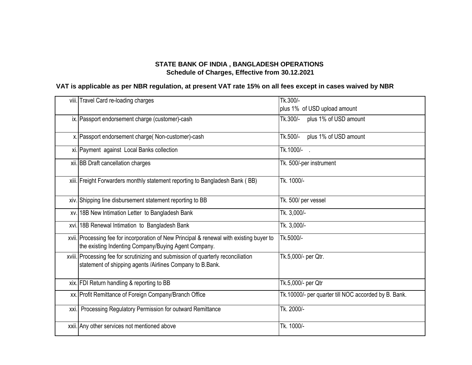| viii. Travel Card re-loading charges                                                                                                             | Tk.300/-<br>plus 1% of USD upload amount             |
|--------------------------------------------------------------------------------------------------------------------------------------------------|------------------------------------------------------|
| ix. Passport endorsement charge (customer)-cash                                                                                                  | Tk.300/-<br>plus 1% of USD amount                    |
| x. Passport endorsement charge (Non-customer)-cash                                                                                               | Tk.500/-<br>plus 1% of USD amount                    |
| xi. Payment against Local Banks collection                                                                                                       | Tk.1000/- .                                          |
| xii. BB Draft cancellation charges                                                                                                               | Tk. 500/-per instrument                              |
| xiii. Freight Forwarders monthly statement reporting to Bangladesh Bank (BB)                                                                     | Tk. 1000/-                                           |
| xiv. Shipping line disbursement statement reporting to BB                                                                                        | Tk. 500/ per vessel                                  |
| xv. 18B New Intimation Letter to Bangladesh Bank                                                                                                 | Tk. 3,000/-                                          |
| xvi. 18B Renewal Intimation to Bangladesh Bank                                                                                                   | Tk. 3,000/-                                          |
| xvii. Processing fee for incorporation of New Principal & renewal with existing buyer to<br>the existing Indenting Company/Buying Agent Company. | Tk.5000/-                                            |
| xviii. Processing fee for scrutinizing and submission of quarterly reconciliation<br>statement of shipping agents /Airlines Company to B.Bank.   | Tk.5,000/- per Qtr.                                  |
| xix. FDI Return handling & reporting to BB                                                                                                       | Tk.5,000/- per Qtr                                   |
| xx. Profit Remittance of Foreign Company/Branch Office                                                                                           | Tk.10000/- per quarter till NOC accorded by B. Bank. |
| xxi. Processing Regulatory Permission for outward Remittance                                                                                     | Tk. 2000/-                                           |
| xxii. Any other services not mentioned above                                                                                                     | Tk. 1000/-                                           |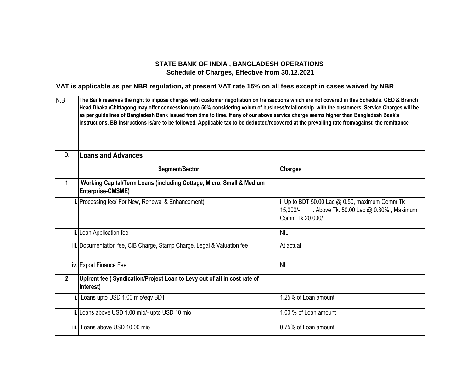| N.B            | The Bank reserves the right to impose charges with customer negotiation on transactions which are not covered in this Schedule. CEO & Branch<br>Head Dhaka /Chittagong may offer concession upto 50% considering volum of business/relationship with the customers. Service Charges will be<br>as per guidelines of Bangladesh Bank issued from time to time. If any of our above service charge seems higher than Bangladesh Bank's<br>instructions, BB instructions is/are to be followed. Applicable tax to be deducted/recovered at the prevailing rate from/against the remittance |                                                                                                                             |
|----------------|-----------------------------------------------------------------------------------------------------------------------------------------------------------------------------------------------------------------------------------------------------------------------------------------------------------------------------------------------------------------------------------------------------------------------------------------------------------------------------------------------------------------------------------------------------------------------------------------|-----------------------------------------------------------------------------------------------------------------------------|
| D.             | <b>Loans and Advances</b>                                                                                                                                                                                                                                                                                                                                                                                                                                                                                                                                                               |                                                                                                                             |
|                | Segment/Sector                                                                                                                                                                                                                                                                                                                                                                                                                                                                                                                                                                          | <b>Charges</b>                                                                                                              |
| 1              | Working Capital/Term Loans (including Cottage, Micro, Small & Medium<br>Enterprise-CMSME)                                                                                                                                                                                                                                                                                                                                                                                                                                                                                               |                                                                                                                             |
|                | Processing fee( For New, Renewal & Enhancement)                                                                                                                                                                                                                                                                                                                                                                                                                                                                                                                                         | i. Up to BDT 50.00 Lac $@$ 0.50, maximum Comm Tk<br>ii. Above Tk. 50.00 Lac @ 0.30%, Maximum<br>15,000/-<br>Comm Tk 20,000/ |
|                | ii. Loan Application fee                                                                                                                                                                                                                                                                                                                                                                                                                                                                                                                                                                | <b>NIL</b>                                                                                                                  |
|                | iii. Documentation fee, CIB Charge, Stamp Charge, Legal & Valuation fee                                                                                                                                                                                                                                                                                                                                                                                                                                                                                                                 | At actual                                                                                                                   |
|                | iv. Export Finance Fee                                                                                                                                                                                                                                                                                                                                                                                                                                                                                                                                                                  | <b>NIL</b>                                                                                                                  |
| $\overline{2}$ | Upfront fee (Syndication/Project Loan to Levy out of all in cost rate of<br>Interest)                                                                                                                                                                                                                                                                                                                                                                                                                                                                                                   |                                                                                                                             |
|                | Loans upto USD 1.00 mio/egv BDT                                                                                                                                                                                                                                                                                                                                                                                                                                                                                                                                                         | 1.25% of Loan amount                                                                                                        |
|                | ii. Loans above USD 1.00 mio/- upto USD 10 mio                                                                                                                                                                                                                                                                                                                                                                                                                                                                                                                                          | 1.00 % of Loan amount                                                                                                       |
|                | iii. Loans above USD 10.00 mio                                                                                                                                                                                                                                                                                                                                                                                                                                                                                                                                                          | 0.75% of Loan amount                                                                                                        |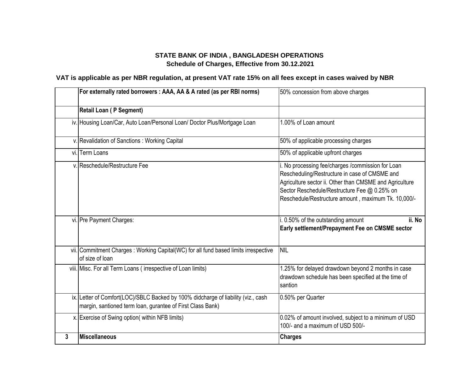|   | For externally rated borrowers : AAA, AA & A rated (as per RBI norms)                                                                           | 50% concession from above charges                                                                                                                                                                                                                                    |
|---|-------------------------------------------------------------------------------------------------------------------------------------------------|----------------------------------------------------------------------------------------------------------------------------------------------------------------------------------------------------------------------------------------------------------------------|
|   | <b>Retail Loan (P Segment)</b>                                                                                                                  |                                                                                                                                                                                                                                                                      |
|   | iv. Housing Loan/Car, Auto Loan/Personal Loan/ Doctor Plus/Mortgage Loan                                                                        | 1.00% of Loan amount                                                                                                                                                                                                                                                 |
|   | v. Revalidation of Sanctions: Working Capital                                                                                                   | 50% of applicable processing charges                                                                                                                                                                                                                                 |
|   | vi. Term Loans                                                                                                                                  | 50% of applicable upfront charges                                                                                                                                                                                                                                    |
|   | v. Reschedule/Restructure Fee                                                                                                                   | i. No processing fee/charges /commission for Loan<br>Rescheduling/Restructure in case of CMSME and<br>Agriculture sector ii. Other than CMSME and Agriculture<br>Sector Reschedule/Restructure Fee @ 0.25% on<br>Reschedule/Restructure amount, maximum Tk. 10,000/- |
|   | vi. Pre Payment Charges:                                                                                                                        | i. 0.50% of the outstanding amount<br>ii. No<br>Early settlement/Prepayment Fee on CMSME sector                                                                                                                                                                      |
|   | vii. Commitment Charges: Working Capital(WC) for all fund based limits irrespective<br>of size of loan                                          | <b>NIL</b>                                                                                                                                                                                                                                                           |
|   | viii. Misc. For all Term Loans (irrespective of Loan limits)                                                                                    | 1.25% for delayed drawdown beyond 2 months in case<br>drawdown schedule has been specified at the time of<br>santion                                                                                                                                                 |
|   | ix. Letter of Comfort(LOC)/SBLC Backed by 100% didcharge of liability (viz., cash<br>margin, santioned term loan, gurantee of First Class Bank) | 0.50% per Quarter                                                                                                                                                                                                                                                    |
|   | x. Exercise of Swing option(within NFB limits)                                                                                                  | 0.02% of amount involved, subject to a minimum of USD<br>100/- and a maximum of USD 500/-                                                                                                                                                                            |
| 3 | <b>Miscellaneous</b>                                                                                                                            | <b>Charges</b>                                                                                                                                                                                                                                                       |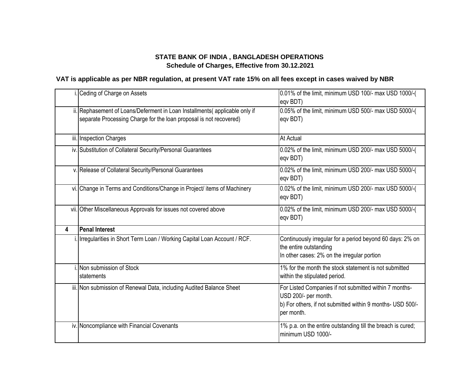|   | i. Ceding of Charge on Assets                                                                                                                    | 0.01% of the limit, minimum USD 100/- max USD 1000/-(<br>eqv BDT)                                                                                          |
|---|--------------------------------------------------------------------------------------------------------------------------------------------------|------------------------------------------------------------------------------------------------------------------------------------------------------------|
|   | ii. Rephasement of Loans/Deferment in Loan Installments(applicable only if<br>separate Processing Charge for the loan proposal is not recovered) | 0.05% of the limit, minimum USD 500/- max USD 5000/-(<br>eqv BDT)                                                                                          |
|   | iii. Inspection Charges                                                                                                                          | <b>At Actual</b>                                                                                                                                           |
|   | iv. Substitution of Collateral Security/Personal Guarantees                                                                                      | 0.02% of the limit, minimum USD 200/- max USD 5000/-(<br>eqv BDT)                                                                                          |
|   | v. Release of Collateral Security/Personal Guarantees                                                                                            | 0.02% of the limit, minimum USD 200/- max USD 5000/-(<br>eqv BDT)                                                                                          |
|   | vi. Change in Terms and Conditions/Change in Project/ items of Machinery                                                                         | 0.02% of the limit, minimum USD 200/- max USD 5000/-(<br>eqv BDT)                                                                                          |
|   | vii. Other Miscellaneous Approvals for issues not covered above                                                                                  | 0.02% of the limit, minimum USD 200/- max USD 5000/-(<br>eqv BDT)                                                                                          |
| 4 | <b>Penal Interest</b>                                                                                                                            |                                                                                                                                                            |
|   | . Irregularities in Short Term Loan / Working Capital Loan Account / RCF.                                                                        | Continuously irregular for a period beyond 60 days: 2% on<br>the entire outstanding                                                                        |
|   |                                                                                                                                                  | In other cases: 2% on the irregular portion                                                                                                                |
|   | i. Non submission of Stock<br><b>statements</b>                                                                                                  | 1% for the month the stock statement is not submitted<br>within the stipulated period.                                                                     |
|   | iii. Non submission of Renewal Data, including Audited Balance Sheet                                                                             | For Listed Companies if not submitted within 7 months-<br>USD 200/- per month.<br>b) For others, if not submitted within 9 months- USD 500/-<br>per month. |